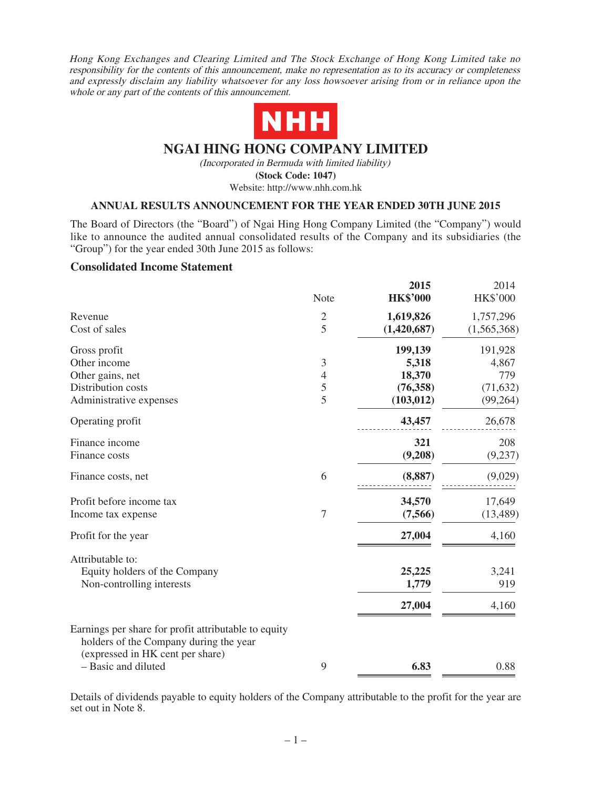Hong Kong Exchanges and Clearing Limited and The Stock Exchange of Hong Kong Limited take no responsibility for the contents of this announcement, make no representation as to its accuracy or completeness and expressly disclaim any liability whatsoever for any loss howsoever arising from or in reliance upon the whole or any part of the contents of this announcement.



## **NGAI HING HONG COMPANY LIMITED**

(Incorporated in Bermuda with limited liability)

**(Stock Code: 1047)**

Website: http://www.nhh.com.hk

### **ANNUAL RESULTS ANNOUNCEMENT FOR THE YEAR ENDED 30TH JUNE 2015**

The Board of Directors (the "Board") of Ngai Hing Hong Company Limited (the "Company") would like to announce the audited annual consolidated results of the Company and its subsidiaries (the "Group") for the year ended 30th June 2015 as follows:

### **Consolidated Income Statement**

|                                                                                                                                    | Note           | 2015<br><b>HK\$'000</b> | 2014<br><b>HK\$'000</b> |
|------------------------------------------------------------------------------------------------------------------------------------|----------------|-------------------------|-------------------------|
| Revenue                                                                                                                            | $\mathfrak{2}$ | 1,619,826               | 1,757,296               |
| Cost of sales                                                                                                                      | 5              | (1,420,687)             | (1,565,368)             |
| Gross profit                                                                                                                       |                | 199,139                 | 191,928                 |
| Other income                                                                                                                       | $\mathfrak{Z}$ | 5,318                   | 4,867                   |
| Other gains, net                                                                                                                   | $\overline{4}$ | 18,370                  | 779                     |
| Distribution costs                                                                                                                 | 5              | (76, 358)               | (71, 632)               |
| Administrative expenses                                                                                                            | 5              | (103, 012)              | (99,264)                |
| Operating profit                                                                                                                   |                | 43,457                  | 26,678                  |
| Finance income                                                                                                                     |                | 321                     | 208                     |
| Finance costs                                                                                                                      |                | (9,208)                 | (9,237)                 |
| Finance costs, net                                                                                                                 | 6              | (8, 887)                | (9,029)                 |
| Profit before income tax                                                                                                           |                | 34,570                  | 17,649                  |
| Income tax expense                                                                                                                 | 7              | (7,566)                 | (13, 489)               |
| Profit for the year                                                                                                                |                | 27,004                  | 4,160                   |
| Attributable to:                                                                                                                   |                |                         |                         |
| Equity holders of the Company                                                                                                      |                | 25,225                  | 3,241                   |
| Non-controlling interests                                                                                                          |                | 1,779                   | 919                     |
|                                                                                                                                    |                | 27,004                  | 4,160                   |
| Earnings per share for profit attributable to equity<br>holders of the Company during the year<br>(expressed in HK cent per share) |                |                         |                         |
| - Basic and diluted                                                                                                                | 9              | 6.83                    | 0.88                    |

Details of dividends payable to equity holders of the Company attributable to the profit for the year are set out in Note 8.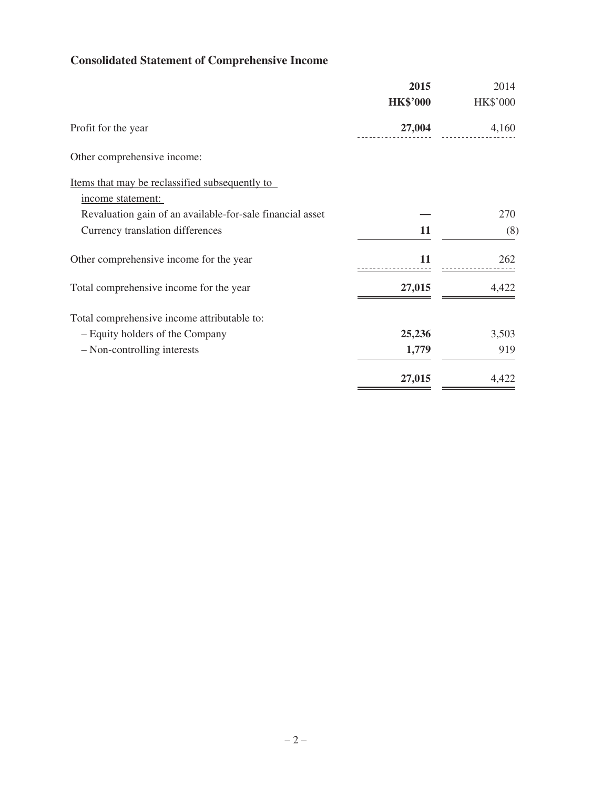# **Consolidated Statement of Comprehensive Income**

|                                                           | 2015            | 2014     |
|-----------------------------------------------------------|-----------------|----------|
|                                                           | <b>HK\$'000</b> | HK\$'000 |
| Profit for the year                                       | 27,004          | 4,160    |
| Other comprehensive income:                               |                 |          |
| Items that may be reclassified subsequently to            |                 |          |
| income statement:                                         |                 |          |
| Revaluation gain of an available-for-sale financial asset |                 | 270      |
| Currency translation differences                          | 11              | (8)      |
| Other comprehensive income for the year                   | 11              | 262      |
| Total comprehensive income for the year                   | 27,015          | 4,422    |
| Total comprehensive income attributable to:               |                 |          |
| - Equity holders of the Company                           | 25,236          | 3,503    |
| - Non-controlling interests                               | 1,779           | 919      |
|                                                           | 27,015          | 4,422    |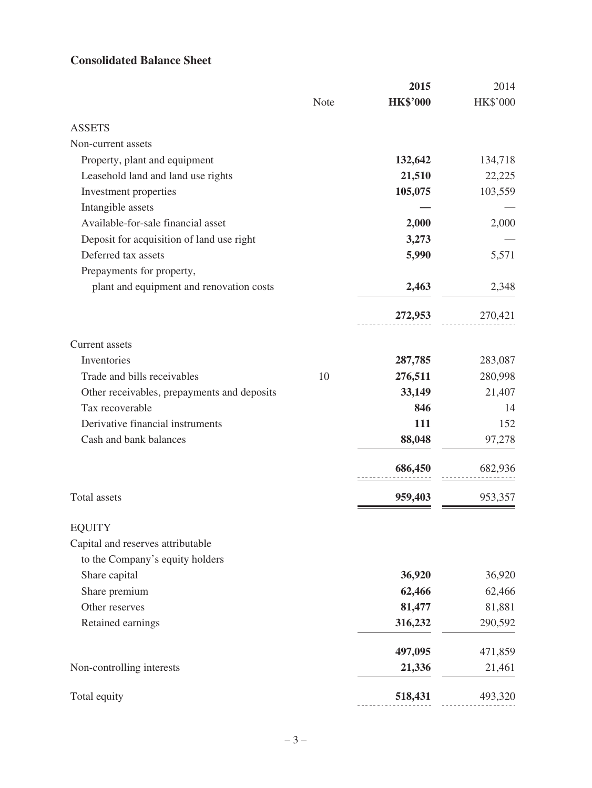# **Consolidated Balance Sheet**

|                                             |      | 2015            | 2014     |
|---------------------------------------------|------|-----------------|----------|
|                                             | Note | <b>HK\$'000</b> | HK\$'000 |
| <b>ASSETS</b>                               |      |                 |          |
| Non-current assets                          |      |                 |          |
| Property, plant and equipment               |      | 132,642         | 134,718  |
| Leasehold land and land use rights          |      | 21,510          | 22,225   |
| Investment properties                       |      | 105,075         | 103,559  |
| Intangible assets                           |      |                 |          |
| Available-for-sale financial asset          |      | 2,000           | 2,000    |
| Deposit for acquisition of land use right   |      | 3,273           |          |
| Deferred tax assets                         |      | 5,990           | 5,571    |
| Prepayments for property,                   |      |                 |          |
| plant and equipment and renovation costs    |      | 2,463           | 2,348    |
|                                             |      | 272,953         | 270,421  |
| <b>Current</b> assets                       |      |                 |          |
| Inventories                                 |      | 287,785         | 283,087  |
| Trade and bills receivables                 | 10   | 276,511         | 280,998  |
| Other receivables, prepayments and deposits |      | 33,149          | 21,407   |
| Tax recoverable                             |      | 846             | 14       |
| Derivative financial instruments            |      | 111             | 152      |
| Cash and bank balances                      |      | 88,048          | 97,278   |
|                                             |      | 686,450         | 682,936  |
| <b>Total</b> assets                         |      | 959,403         | 953,357  |
| <b>EQUITY</b>                               |      |                 |          |
| Capital and reserves attributable           |      |                 |          |
| to the Company's equity holders             |      |                 |          |
| Share capital                               |      | 36,920          | 36,920   |
| Share premium                               |      | 62,466          | 62,466   |
| Other reserves                              |      | 81,477          | 81,881   |
| Retained earnings                           |      | 316,232         | 290,592  |
|                                             |      | 497,095         | 471,859  |
| Non-controlling interests                   |      | 21,336          | 21,461   |
| Total equity                                |      | 518,431         | 493,320  |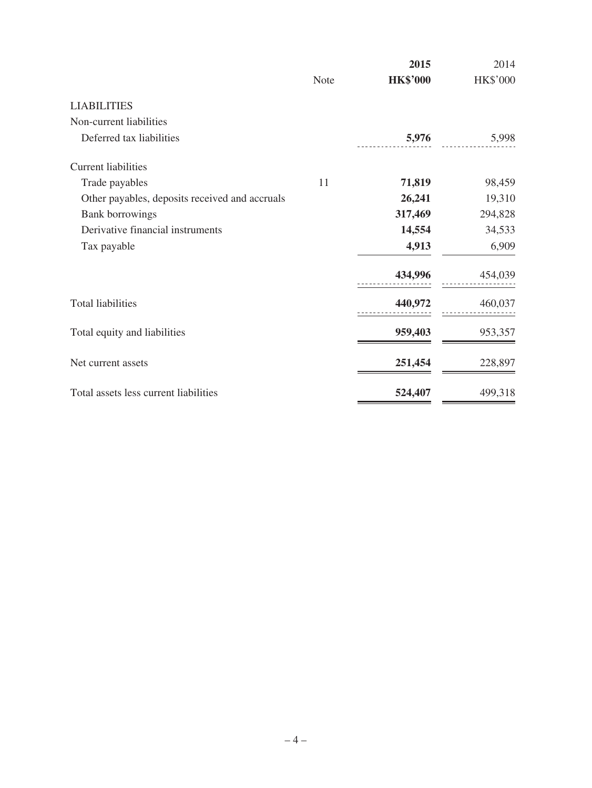|                                                |             | 2015            | 2014     |
|------------------------------------------------|-------------|-----------------|----------|
|                                                | <b>Note</b> | <b>HK\$'000</b> | HK\$'000 |
| <b>LIABILITIES</b>                             |             |                 |          |
| Non-current liabilities                        |             |                 |          |
| Deferred tax liabilities                       |             | 5,976           | 5,998    |
| <b>Current liabilities</b>                     |             |                 |          |
| Trade payables                                 | 11          | 71,819          | 98,459   |
| Other payables, deposits received and accruals |             | 26,241          | 19,310   |
| <b>Bank borrowings</b>                         |             | 317,469         | 294,828  |
| Derivative financial instruments               |             | 14,554          | 34,533   |
| Tax payable                                    |             | 4,913           | 6,909    |
|                                                |             | 434,996         | 454,039  |
| <b>Total liabilities</b>                       |             | 440,972         | 460,037  |
| Total equity and liabilities                   |             | 959,403         | 953,357  |
| Net current assets                             |             | 251,454         | 228,897  |
| Total assets less current liabilities          |             | 524,407         | 499,318  |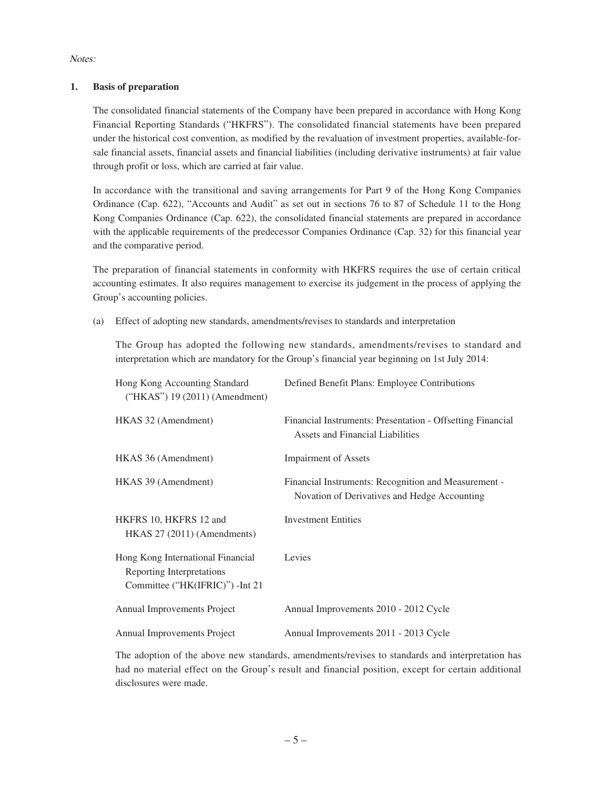Notes:

### **1. Basis of preparation**

The consolidated financial statements of the Company have been prepared in accordance with Hong Kong Financial Reporting Standards ("HKFRS"). The consolidated financial statements have been prepared under the historical cost convention, as modified by the revaluation of investment properties, available-forsale financial assets, financial assets and financial liabilities (including derivative instruments) at fair value through profit or loss, which are carried at fair value.

In accordance with the transitional and saving arrangements for Part 9 of the Hong Kong Companies Ordinance (Cap. 622), "Accounts and Audit" as set out in sections 76 to 87 of Schedule 11 to the Hong Kong Companies Ordinance (Cap. 622), the consolidated financial statements are prepared in accordance with the applicable requirements of the predecessor Companies Ordinance (Cap. 32) for this financial year and the comparative period.

The preparation of financial statements in conformity with HKFRS requires the use of certain critical accounting estimates. It also requires management to exercise its judgement in the process of applying the Group's accounting policies.

(a) Effect of adopting new standards, amendments/revises to standards and interpretation

The Group has adopted the following new standards, amendments/revises to standard and interpretation which are mandatory for the Group's financial year beginning on 1st July 2014:

| Hong Kong Accounting Standard<br>$("HKAS")$ 19 (2011) (Amendment)                                  | Defined Benefit Plans: Employee Contributions                                                         |
|----------------------------------------------------------------------------------------------------|-------------------------------------------------------------------------------------------------------|
| HKAS 32 (Amendment)                                                                                | Financial Instruments: Presentation - Offsetting Financial<br><b>Assets and Financial Liabilities</b> |
| HKAS 36 (Amendment)                                                                                | <b>Impairment of Assets</b>                                                                           |
| HKAS 39 (Amendment)                                                                                | Financial Instruments: Recognition and Measurement -<br>Novation of Derivatives and Hedge Accounting  |
| HKFRS 10, HKFRS 12 and<br>HKAS 27 (2011) (Amendments)                                              | <b>Investment Entities</b>                                                                            |
| Hong Kong International Financial<br>Reporting Interpretations<br>Committee ("HK(IFRIC)") - Int 21 | Levies                                                                                                |
| Annual Improvements Project                                                                        | Annual Improvements 2010 - 2012 Cycle                                                                 |
| Annual Improvements Project                                                                        | Annual Improvements 2011 - 2013 Cycle                                                                 |

The adoption of the above new standards, amendments/revises to standards and interpretation has had no material effect on the Group's result and financial position, except for certain additional disclosures were made.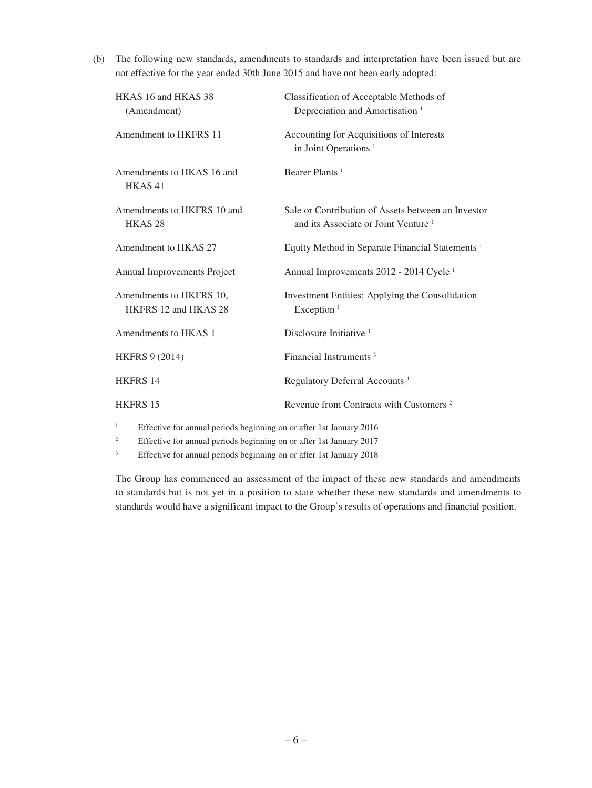(b) The following new standards, amendments to standards and interpretation have been issued but are not effective for the year ended 30th June 2015 and have not been early adopted:

| HKAS 16 and HKAS 38<br>(Amendment)               | Classification of Acceptable Methods of<br>Depreciation and Amortisation <sup>1</sup>                 |
|--------------------------------------------------|-------------------------------------------------------------------------------------------------------|
| Amendment to HKFRS 11                            | Accounting for Acquisitions of Interests<br>in Joint Operations <sup>1</sup>                          |
| Amendments to HKAS 16 and<br>HKAS <sub>41</sub>  | Bearer Plants <sup>1</sup>                                                                            |
| Amendments to HKFRS 10 and<br>HKAS <sub>28</sub> | Sale or Contribution of Assets between an Investor<br>and its Associate or Joint Venture <sup>1</sup> |
| Amendment to HKAS 27                             | Equity Method in Separate Financial Statements <sup>1</sup>                                           |
| Annual Improvements Project                      | Annual Improvements 2012 - 2014 Cycle <sup>1</sup>                                                    |
| Amendments to HKFRS 10,<br>HKFRS 12 and HKAS 28  | Investment Entities: Applying the Consolidation<br>Exception <sup>1</sup>                             |
| Amendments to HKAS 1                             | Disclosure Initiative $1$                                                                             |
| <b>HKFRS 9 (2014)</b>                            | Financial Instruments <sup>3</sup>                                                                    |
| <b>HKFRS 14</b>                                  | Regulatory Deferral Accounts <sup>1</sup>                                                             |
| <b>HKFRS 15</b>                                  | Revenue from Contracts with Customers <sup>2</sup>                                                    |
|                                                  |                                                                                                       |

<sup>1</sup> Effective for annual periods beginning on or after 1st January 2016

<sup>2</sup> Effective for annual periods beginning on or after 1st January 2017

<sup>3</sup> Effective for annual periods beginning on or after 1st January 2018

The Group has commenced an assessment of the impact of these new standards and amendments to standards but is not yet in a position to state whether these new standards and amendments to standards would have a significant impact to the Group's results of operations and financial position.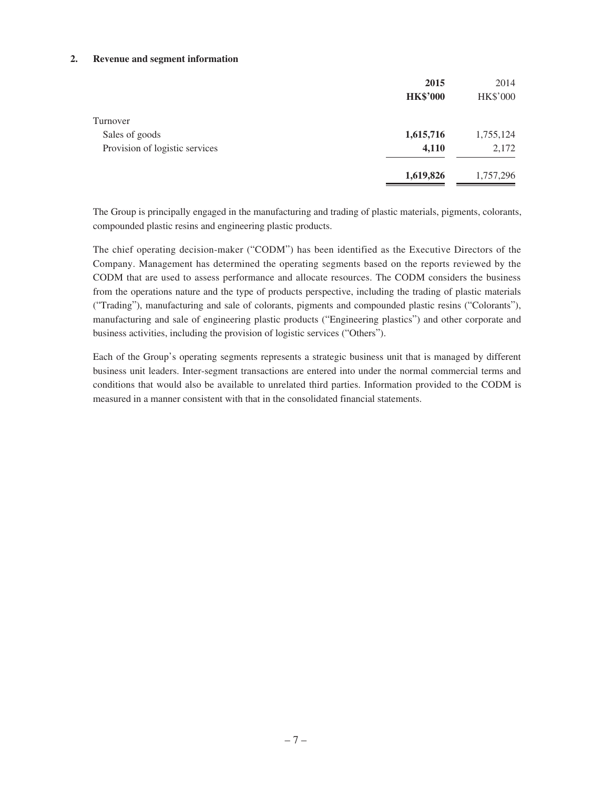#### **2. Revenue and segment information**

|                                | 2015            | 2014            |
|--------------------------------|-----------------|-----------------|
|                                | <b>HK\$'000</b> | <b>HK\$'000</b> |
| Turnover                       |                 |                 |
| Sales of goods                 | 1,615,716       | 1,755,124       |
| Provision of logistic services | 4,110           | 2,172           |
|                                | 1,619,826       | 1,757,296       |

The Group is principally engaged in the manufacturing and trading of plastic materials, pigments, colorants, compounded plastic resins and engineering plastic products.

The chief operating decision-maker ("CODM") has been identified as the Executive Directors of the Company. Management has determined the operating segments based on the reports reviewed by the CODM that are used to assess performance and allocate resources. The CODM considers the business from the operations nature and the type of products perspective, including the trading of plastic materials ("Trading"), manufacturing and sale of colorants, pigments and compounded plastic resins ("Colorants"), manufacturing and sale of engineering plastic products ("Engineering plastics") and other corporate and business activities, including the provision of logistic services ("Others").

Each of the Group's operating segments represents a strategic business unit that is managed by different business unit leaders. Inter-segment transactions are entered into under the normal commercial terms and conditions that would also be available to unrelated third parties. Information provided to the CODM is measured in a manner consistent with that in the consolidated financial statements.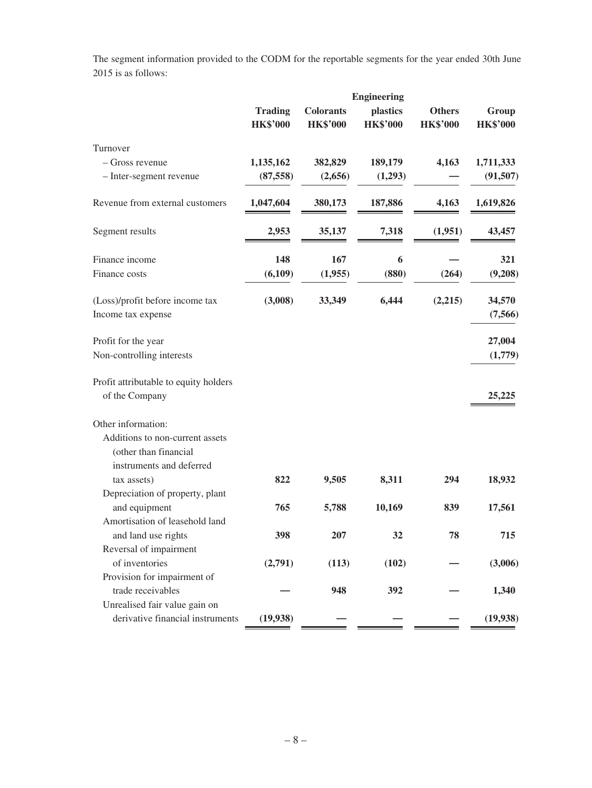The segment information provided to the CODM for the reportable segments for the year ended 30th June 2015 is as follows:

|                                                       | <b>Engineering</b>                |                                     |                             |                                  |                          |  |
|-------------------------------------------------------|-----------------------------------|-------------------------------------|-----------------------------|----------------------------------|--------------------------|--|
|                                                       | <b>Trading</b><br><b>HK\$'000</b> | <b>Colorants</b><br><b>HK\$'000</b> | plastics<br><b>HK\$'000</b> | <b>Others</b><br><b>HK\$'000</b> | Group<br><b>HK\$'000</b> |  |
| Turnover                                              |                                   |                                     |                             |                                  |                          |  |
| - Gross revenue                                       | 1,135,162                         | 382,829                             | 189,179                     | 4,163                            | 1,711,333                |  |
| - Inter-segment revenue                               | (87, 558)                         | (2,656)                             | (1,293)                     |                                  | (91, 507)                |  |
| Revenue from external customers                       | 1,047,604                         | 380,173                             | 187,886                     | 4,163                            | 1,619,826                |  |
| Segment results                                       | 2,953                             | 35,137                              | 7,318                       | (1,951)                          | 43,457                   |  |
| Finance income                                        | 148                               | 167                                 | 6                           |                                  | 321                      |  |
| Finance costs                                         | (6,109)                           | (1,955)                             | (880)                       | (264)                            | (9,208)                  |  |
| (Loss)/profit before income tax<br>Income tax expense | (3,008)                           | 33,349                              | 6,444                       | (2,215)                          | 34,570<br>(7,566)        |  |
| Profit for the year                                   |                                   |                                     |                             |                                  | 27,004                   |  |
| Non-controlling interests                             |                                   |                                     |                             |                                  | (1,779)                  |  |
| Profit attributable to equity holders                 |                                   |                                     |                             |                                  |                          |  |
| of the Company                                        |                                   |                                     |                             |                                  | 25,225                   |  |
| Other information:                                    |                                   |                                     |                             |                                  |                          |  |
| Additions to non-current assets                       |                                   |                                     |                             |                                  |                          |  |
| (other than financial                                 |                                   |                                     |                             |                                  |                          |  |
| instruments and deferred                              |                                   |                                     |                             |                                  |                          |  |
| tax assets)                                           | 822                               | 9,505                               | 8,311                       | 294                              | 18,932                   |  |
| Depreciation of property, plant                       |                                   |                                     |                             |                                  |                          |  |
| and equipment                                         | 765                               | 5,788                               | 10,169                      | 839                              | 17,561                   |  |
| Amortisation of leasehold land                        |                                   |                                     |                             |                                  |                          |  |
| and land use rights                                   | 398                               | 207                                 | 32                          | 78                               | 715                      |  |
| Reversal of impairment                                |                                   |                                     |                             |                                  |                          |  |
| of inventories                                        | (2,791)                           | (113)                               | (102)                       |                                  | (3,006)                  |  |
| Provision for impairment of                           |                                   |                                     |                             |                                  |                          |  |
| trade receivables                                     |                                   | 948                                 | 392                         |                                  | 1,340                    |  |
| Unrealised fair value gain on                         |                                   |                                     |                             |                                  |                          |  |
| derivative financial instruments                      | (19,938)                          |                                     |                             |                                  | (19,938)                 |  |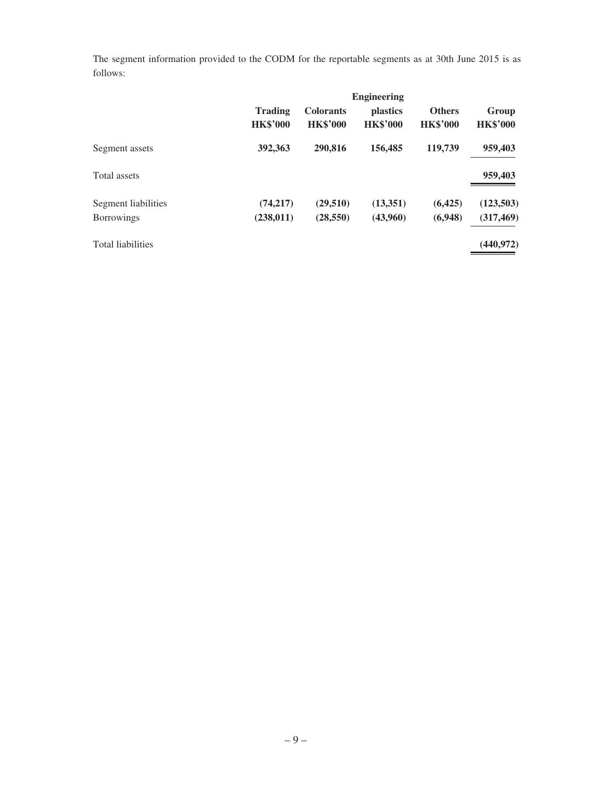The segment information provided to the CODM for the reportable segments as at 30th June 2015 is as follows:

|                          | <b>Engineering</b>                |                                     |                                    |                                  |                          |
|--------------------------|-----------------------------------|-------------------------------------|------------------------------------|----------------------------------|--------------------------|
|                          | <b>Trading</b><br><b>HK\$'000</b> | <b>Colorants</b><br><b>HK\$'000</b> | <i>plastics</i><br><b>HK\$'000</b> | <b>Others</b><br><b>HK\$'000</b> | Group<br><b>HK\$'000</b> |
| Segment assets           | 392,363                           | 290,816                             | 156,485                            | 119,739                          | 959,403                  |
| Total assets             |                                   |                                     |                                    |                                  | 959,403                  |
| Segment liabilities      | (74, 217)                         | (29,510)                            | (13,351)                           | (6,425)                          | (123,503)                |
| <b>Borrowings</b>        | (238, 011)                        | (28, 550)                           | (43,960)                           | (6,948)                          | (317, 469)               |
| <b>Total liabilities</b> |                                   |                                     |                                    |                                  | (440, 972)               |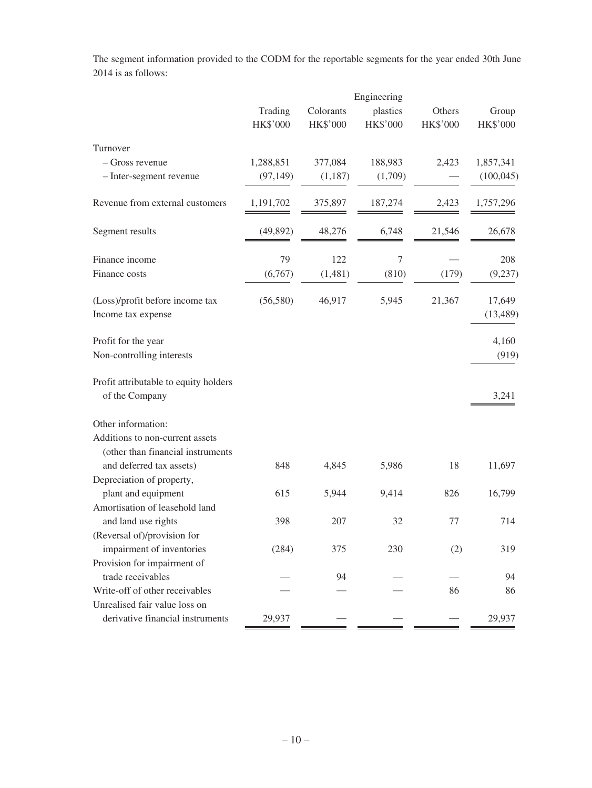|                                                         | Engineering         |                       |                             |                    |                          |  |
|---------------------------------------------------------|---------------------|-----------------------|-----------------------------|--------------------|--------------------------|--|
|                                                         | Trading<br>HK\$'000 | Colorants<br>HK\$'000 | plastics<br><b>HK\$'000</b> | Others<br>HK\$'000 | Group<br><b>HK\$'000</b> |  |
| Turnover                                                |                     |                       |                             |                    |                          |  |
| - Gross revenue                                         | 1,288,851           | 377,084               | 188,983                     | 2,423              | 1,857,341                |  |
| - Inter-segment revenue                                 | (97, 149)           | (1,187)               | (1,709)                     |                    | (100, 045)               |  |
| Revenue from external customers                         | 1,191,702           | 375,897               | 187,274                     | 2,423              | 1,757,296                |  |
| Segment results                                         | (49, 892)           | 48,276                | 6,748                       | 21,546             | 26,678                   |  |
| Finance income                                          | 79                  | 122                   | 7                           |                    | 208                      |  |
| Finance costs                                           | (6,767)             | (1,481)               | (810)                       | (179)              | (9, 237)                 |  |
| (Loss)/profit before income tax<br>Income tax expense   | (56, 580)           | 46,917                | 5,945                       | 21,367             | 17,649<br>(13, 489)      |  |
| Profit for the year<br>Non-controlling interests        |                     |                       |                             |                    | 4,160<br>(919)           |  |
| Profit attributable to equity holders<br>of the Company |                     |                       |                             |                    | 3,241                    |  |
| Other information:                                      |                     |                       |                             |                    |                          |  |
| Additions to non-current assets                         |                     |                       |                             |                    |                          |  |
| (other than financial instruments                       |                     |                       |                             | 18                 |                          |  |
| and deferred tax assets)<br>Depreciation of property,   | 848                 | 4,845                 | 5,986                       |                    | 11,697                   |  |
| plant and equipment                                     | 615                 | 5,944                 | 9,414                       | 826                | 16,799                   |  |
| Amortisation of leasehold land                          |                     |                       |                             |                    |                          |  |
| and land use rights                                     | 398                 | 207                   | 32                          | 77                 | 714                      |  |
| (Reversal of)/provision for                             |                     |                       |                             |                    |                          |  |
| impairment of inventories                               | (284)               | 375                   | 230                         | (2)                | 319                      |  |
| Provision for impairment of                             |                     |                       |                             |                    |                          |  |
| trade receivables                                       |                     | 94                    |                             |                    | 94                       |  |
| Write-off of other receivables                          |                     |                       |                             | 86                 | 86                       |  |
| Unrealised fair value loss on                           |                     |                       |                             |                    |                          |  |
| derivative financial instruments                        | 29,937              |                       |                             |                    | 29,937                   |  |

The segment information provided to the CODM for the reportable segments for the year ended 30th June 2014 is as follows: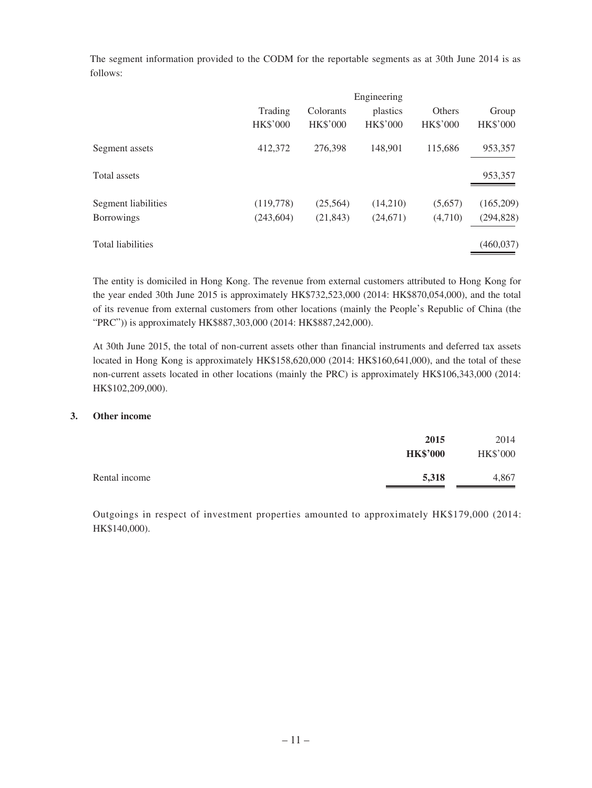The segment information provided to the CODM for the reportable segments as at 30th June 2014 is as follows:

| Engineering     |                 |                 |                 |                 |
|-----------------|-----------------|-----------------|-----------------|-----------------|
| Trading         | Colorants       | plastics        | Others          | Group           |
| <b>HK\$'000</b> | <b>HK\$'000</b> | <b>HK\$'000</b> | <b>HK\$'000</b> | <b>HK\$'000</b> |
| 412,372         | 276.398         | 148.901         | 115,686         | 953,357         |
|                 |                 |                 |                 | 953,357         |
| (119,778)       | (25,564)        | (14,210)        | (5,657)         | (165,209)       |
| (243,604)       | (21, 843)       | (24,671)        | (4,710)         | (294, 828)      |
|                 |                 |                 |                 | (460, 037)      |
|                 |                 |                 |                 |                 |

The entity is domiciled in Hong Kong. The revenue from external customers attributed to Hong Kong for the year ended 30th June 2015 is approximately HK\$732,523,000 (2014: HK\$870,054,000), and the total of its revenue from external customers from other locations (mainly the People's Republic of China (the "PRC")) is approximately HK\$887,303,000 (2014: HK\$887,242,000).

At 30th June 2015, the total of non-current assets other than financial instruments and deferred tax assets located in Hong Kong is approximately HK\$158,620,000 (2014: HK\$160,641,000), and the total of these non-current assets located in other locations (mainly the PRC) is approximately HK\$106,343,000 (2014: HK\$102,209,000).

### **3. Other income**

|               | 2015<br><b>HK\$'000</b> | 2014<br><b>HK\$'000</b> |
|---------------|-------------------------|-------------------------|
| Rental income | 5,318                   | 4,867                   |

Outgoings in respect of investment properties amounted to approximately HK\$179,000 (2014: HK\$140,000).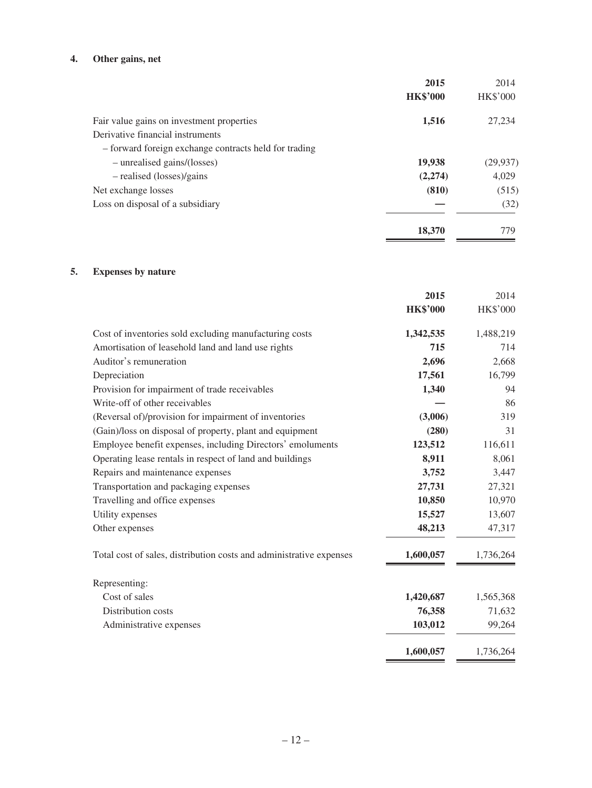## **4. Other gains, net**

|                                                       | 2015            | 2014            |
|-------------------------------------------------------|-----------------|-----------------|
|                                                       | <b>HK\$'000</b> | <b>HK\$'000</b> |
| Fair value gains on investment properties             | 1,516           | 27,234          |
| Derivative financial instruments                      |                 |                 |
| - forward foreign exchange contracts held for trading |                 |                 |
| - unrealised gains/(losses)                           | 19,938          | (29, 937)       |
| - realised (losses)/gains                             | (2,274)         | 4.029           |
| Net exchange losses                                   | (810)           | (515)           |
| Loss on disposal of a subsidiary                      |                 | (32)            |
|                                                       | 18,370          | 779             |

## **5. Expenses by nature**

|                                                                     | 2015            | 2014            |
|---------------------------------------------------------------------|-----------------|-----------------|
|                                                                     | <b>HK\$'000</b> | <b>HK\$'000</b> |
| Cost of inventories sold excluding manufacturing costs              | 1,342,535       | 1,488,219       |
| Amortisation of leasehold land and land use rights                  | 715             | 714             |
| Auditor's remuneration                                              | 2,696           | 2,668           |
| Depreciation                                                        | 17,561          | 16,799          |
| Provision for impairment of trade receivables                       | 1,340           | 94              |
| Write-off of other receivables                                      |                 | 86              |
| (Reversal of)/provision for impairment of inventories               | (3,006)         | 319             |
| (Gain)/loss on disposal of property, plant and equipment            | (280)           | 31              |
| Employee benefit expenses, including Directors' emoluments          | 123,512         | 116,611         |
| Operating lease rentals in respect of land and buildings            | 8,911           | 8,061           |
| Repairs and maintenance expenses                                    | 3,752           | 3,447           |
| Transportation and packaging expenses                               | 27,731          | 27,321          |
| Travelling and office expenses                                      | 10,850          | 10,970          |
| Utility expenses                                                    | 15,527          | 13,607          |
| Other expenses                                                      | 48,213          | 47,317          |
| Total cost of sales, distribution costs and administrative expenses | 1,600,057       | 1,736,264       |
| Representing:                                                       |                 |                 |
| Cost of sales                                                       | 1,420,687       | 1,565,368       |
| Distribution costs                                                  | 76,358          | 71,632          |
| Administrative expenses                                             | 103,012         | 99,264          |
|                                                                     | 1,600,057       | 1,736,264       |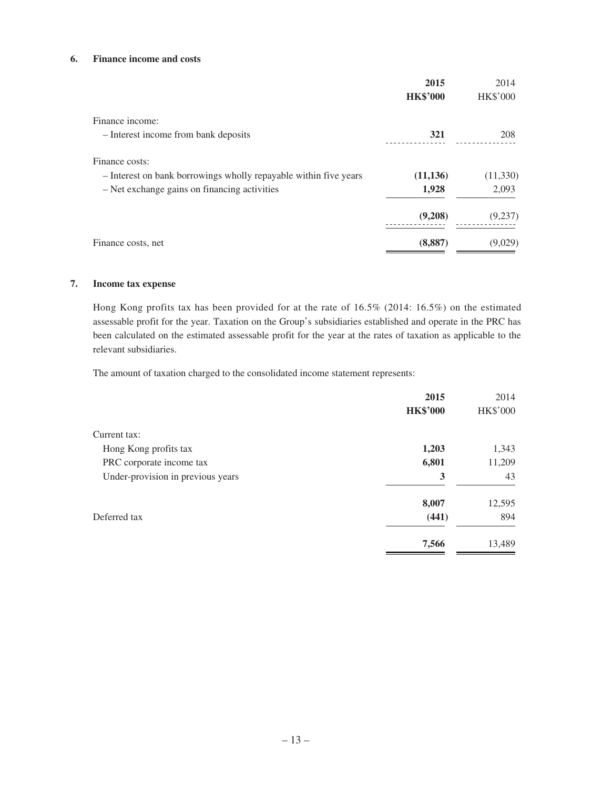### **6. Finance income and costs**

|                                                                  | 2015            | 2014            |
|------------------------------------------------------------------|-----------------|-----------------|
|                                                                  | <b>HK\$'000</b> | <b>HK\$'000</b> |
| Finance income:                                                  |                 |                 |
| - Interest income from bank deposits                             | 321             | 208             |
| Finance costs:                                                   |                 |                 |
| - Interest on bank borrowings wholly repayable within five years | (11, 136)       | (11,330)        |
| - Net exchange gains on financing activities                     | 1,928           | 2,093           |
|                                                                  | (9,208)         | (9,237)         |
| Finance costs, net                                               | (8, 887)        | (9,029)         |

#### **7. Income tax expense**

Hong Kong profits tax has been provided for at the rate of 16.5% (2014: 16.5%) on the estimated assessable profit for the year. Taxation on the Group's subsidiaries established and operate in the PRC has been calculated on the estimated assessable profit for the year at the rates of taxation as applicable to the relevant subsidiaries.

The amount of taxation charged to the consolidated income statement represents:

| 2015            | 2014            |
|-----------------|-----------------|
| <b>HK\$'000</b> | <b>HK\$'000</b> |
|                 |                 |
| 1,203           | 1,343           |
| 6,801           | 11,209          |
| 3               | 43              |
| 8,007           | 12,595          |
| (441)           | 894             |
| 7,566           | 13,489          |
|                 |                 |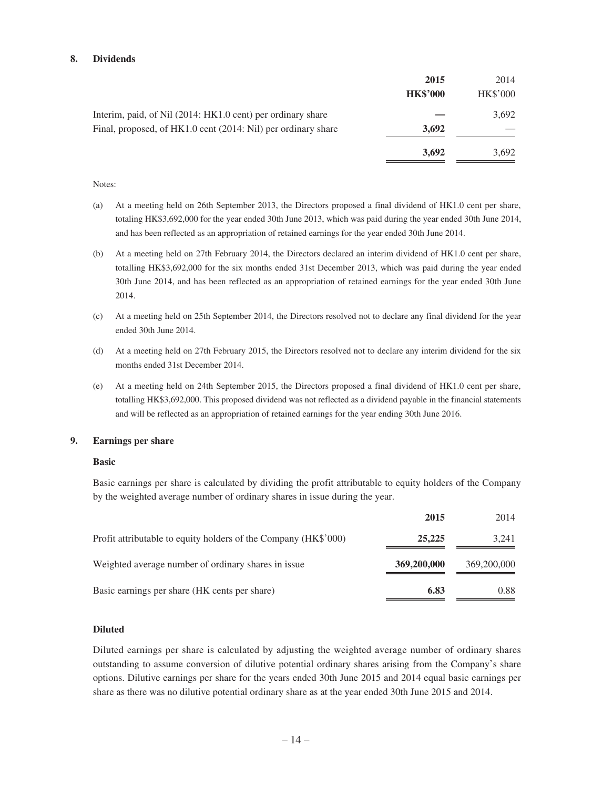#### **8. Dividends**

|                                                               | 2015<br><b>HK\$'000</b> | 2014<br>HK\$'000 |
|---------------------------------------------------------------|-------------------------|------------------|
| Interim, paid, of Nil (2014: HK1.0 cent) per ordinary share   |                         | 3,692            |
| Final, proposed, of HK1.0 cent (2014: Nil) per ordinary share | 3.692                   |                  |
|                                                               | 3,692                   | 3.692            |

#### Notes:

- (a) At a meeting held on 26th September 2013, the Directors proposed a final dividend of HK1.0 cent per share, totaling HK\$3,692,000 for the year ended 30th June 2013, which was paid during the year ended 30th June 2014, and has been reflected as an appropriation of retained earnings for the year ended 30th June 2014.
- (b) At a meeting held on 27th February 2014, the Directors declared an interim dividend of HK1.0 cent per share, totalling HK\$3,692,000 for the six months ended 31st December 2013, which was paid during the year ended 30th June 2014, and has been reflected as an appropriation of retained earnings for the year ended 30th June 2014.
- (c) At a meeting held on 25th September 2014, the Directors resolved not to declare any final dividend for the year ended 30th June 2014.
- (d) At a meeting held on 27th February 2015, the Directors resolved not to declare any interim dividend for the six months ended 31st December 2014.
- (e) At a meeting held on 24th September 2015, the Directors proposed a final dividend of HK1.0 cent per share, totalling HK\$3,692,000. This proposed dividend was not reflected as a dividend payable in the financial statements and will be reflected as an appropriation of retained earnings for the year ending 30th June 2016.

#### **9. Earnings per share**

#### **Basic**

Basic earnings per share is calculated by dividing the profit attributable to equity holders of the Company by the weighted average number of ordinary shares in issue during the year.

|                                                                 | 2015        | 2014        |
|-----------------------------------------------------------------|-------------|-------------|
| Profit attributable to equity holders of the Company (HK\$'000) | 25,225      | 3,241       |
| Weighted average number of ordinary shares in issue             | 369,200,000 | 369,200,000 |
| Basic earnings per share (HK cents per share)                   | 6.83        | 0.88        |

### **Diluted**

Diluted earnings per share is calculated by adjusting the weighted average number of ordinary shares outstanding to assume conversion of dilutive potential ordinary shares arising from the Company's share options. Dilutive earnings per share for the years ended 30th June 2015 and 2014 equal basic earnings per share as there was no dilutive potential ordinary share as at the year ended 30th June 2015 and 2014.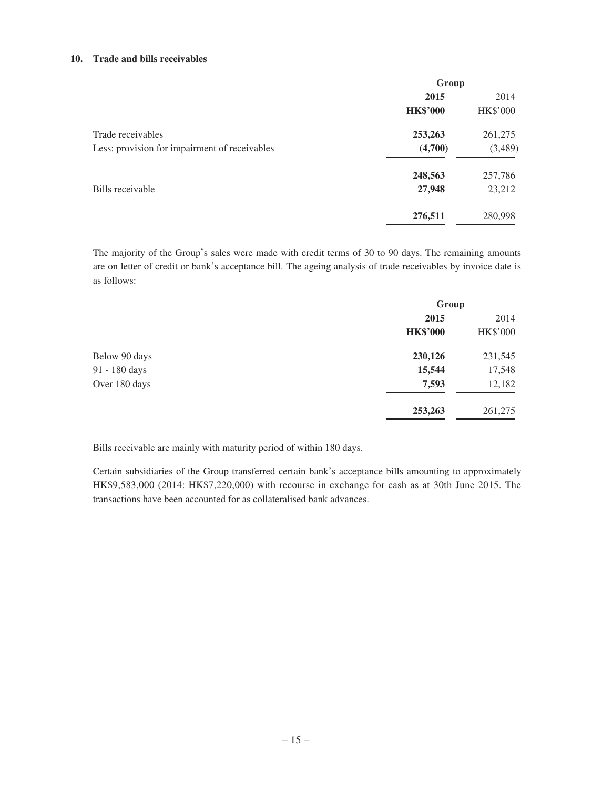#### **10. Trade and bills receivables**

|                                               | Group           |                 |
|-----------------------------------------------|-----------------|-----------------|
|                                               | 2015            |                 |
|                                               | <b>HK\$'000</b> | <b>HK\$'000</b> |
| Trade receivables                             | 253,263         | 261,275         |
| Less: provision for impairment of receivables | (4,700)         | (3,489)         |
|                                               | 248,563         | 257,786         |
| Bills receivable                              | 27,948          | 23,212          |
|                                               | 276,511         | 280,998         |

The majority of the Group's sales were made with credit terms of 30 to 90 days. The remaining amounts are on letter of credit or bank's acceptance bill. The ageing analysis of trade receivables by invoice date is as follows:

|               | Group           |                 |
|---------------|-----------------|-----------------|
|               | 2015            | 2014            |
|               | <b>HK\$'000</b> | <b>HK\$'000</b> |
| Below 90 days | 230,126         | 231,545         |
| 91 - 180 days | 15,544          | 17,548          |
| Over 180 days | 7,593           | 12,182          |
|               | 253,263         | 261,275         |

Bills receivable are mainly with maturity period of within 180 days.

Certain subsidiaries of the Group transferred certain bank's acceptance bills amounting to approximately HK\$9,583,000 (2014: HK\$7,220,000) with recourse in exchange for cash as at 30th June 2015. The transactions have been accounted for as collateralised bank advances.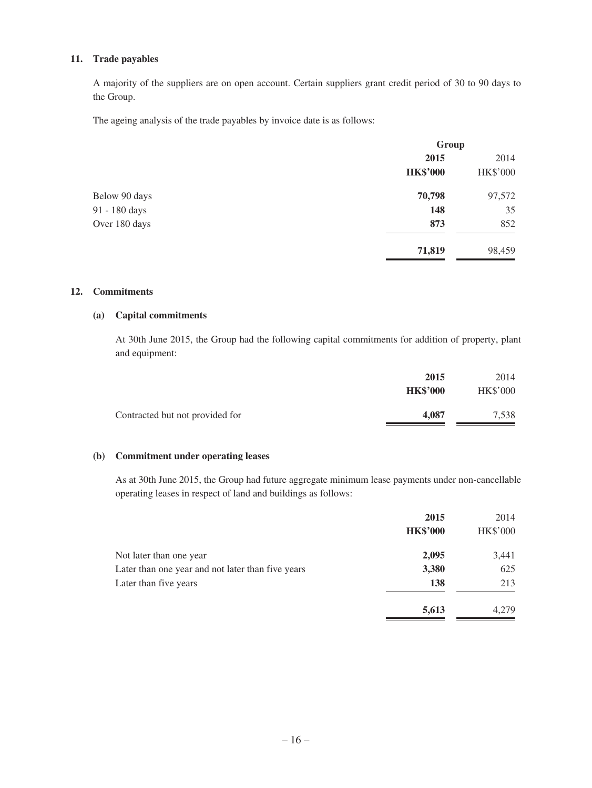### **11. Trade payables**

A majority of the suppliers are on open account. Certain suppliers grant credit period of 30 to 90 days to the Group.

The ageing analysis of the trade payables by invoice date is as follows:

|               | Group           |                 |
|---------------|-----------------|-----------------|
|               | 2015            | 2014            |
|               | <b>HK\$'000</b> | <b>HK\$'000</b> |
| Below 90 days | 70,798          | 97,572          |
| 91 - 180 days | 148             | 35              |
| Over 180 days | 873             | 852             |
|               | 71,819          | 98,459          |

#### **12. Commitments**

### **(a) Capital commitments**

At 30th June 2015, the Group had the following capital commitments for addition of property, plant and equipment:

|                                 | 2015            | 2014            |
|---------------------------------|-----------------|-----------------|
|                                 | <b>HK\$'000</b> | <b>HK\$'000</b> |
| Contracted but not provided for | 4.087           | 7,538           |

### **(b) Commitment under operating leases**

As at 30th June 2015, the Group had future aggregate minimum lease payments under non-cancellable operating leases in respect of land and buildings as follows:

|                                                   | 2015            | 2014            |
|---------------------------------------------------|-----------------|-----------------|
|                                                   | <b>HK\$'000</b> | <b>HK\$'000</b> |
| Not later than one year                           | 2,095           | 3,441           |
| Later than one year and not later than five years | 3,380           | 625             |
| Later than five years                             | 138             | 213             |
|                                                   | 5,613           | 4.279           |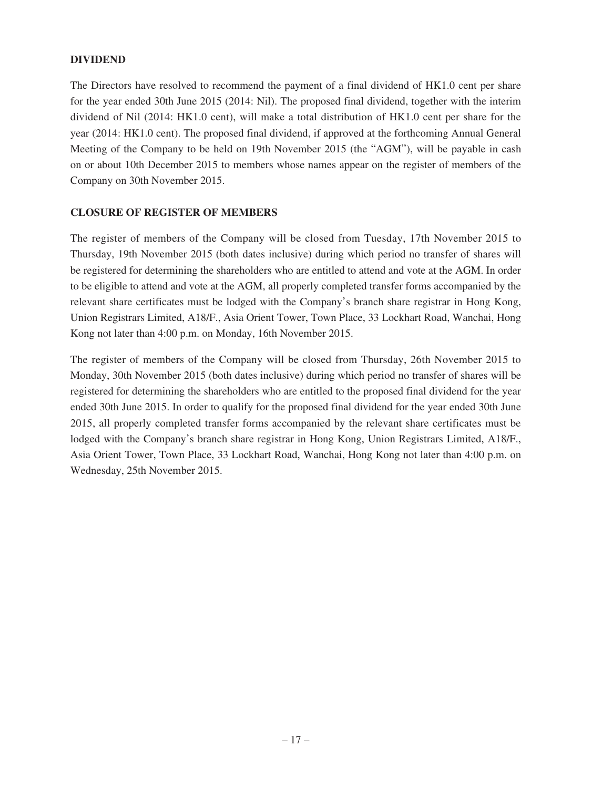## **DIVIDEND**

The Directors have resolved to recommend the payment of a final dividend of HK1.0 cent per share for the year ended 30th June 2015 (2014: Nil). The proposed final dividend, together with the interim dividend of Nil (2014: HK1.0 cent), will make a total distribution of HK1.0 cent per share for the year (2014: HK1.0 cent). The proposed final dividend, if approved at the forthcoming Annual General Meeting of the Company to be held on 19th November 2015 (the "AGM"), will be payable in cash on or about 10th December 2015 to members whose names appear on the register of members of the Company on 30th November 2015.

### **CLOSURE OF REGISTER OF MEMBERS**

The register of members of the Company will be closed from Tuesday, 17th November 2015 to Thursday, 19th November 2015 (both dates inclusive) during which period no transfer of shares will be registered for determining the shareholders who are entitled to attend and vote at the AGM. In order to be eligible to attend and vote at the AGM, all properly completed transfer forms accompanied by the relevant share certificates must be lodged with the Company's branch share registrar in Hong Kong, Union Registrars Limited, A18/F., Asia Orient Tower, Town Place, 33 Lockhart Road, Wanchai, Hong Kong not later than 4:00 p.m. on Monday, 16th November 2015.

The register of members of the Company will be closed from Thursday, 26th November 2015 to Monday, 30th November 2015 (both dates inclusive) during which period no transfer of shares will be registered for determining the shareholders who are entitled to the proposed final dividend for the year ended 30th June 2015. In order to qualify for the proposed final dividend for the year ended 30th June 2015, all properly completed transfer forms accompanied by the relevant share certificates must be lodged with the Company's branch share registrar in Hong Kong, Union Registrars Limited, A18/F., Asia Orient Tower, Town Place, 33 Lockhart Road, Wanchai, Hong Kong not later than 4:00 p.m. on Wednesday, 25th November 2015.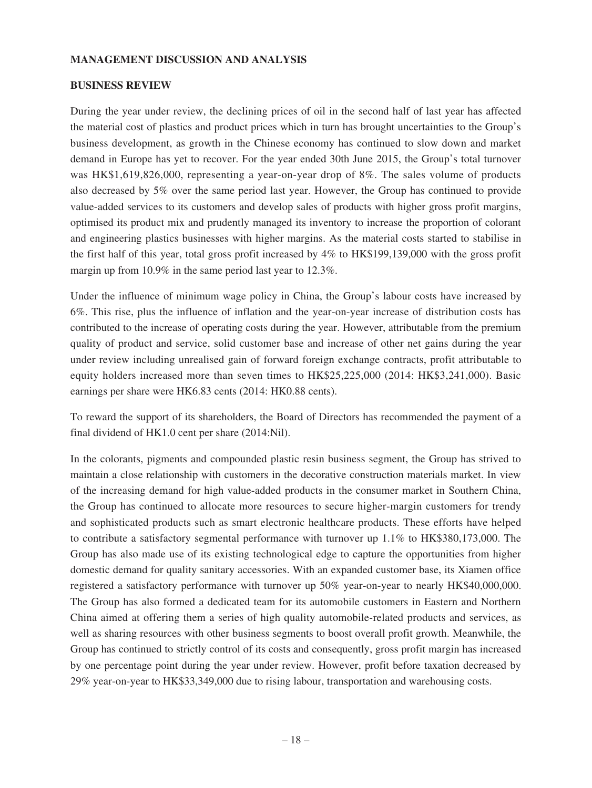### **MANAGEMENT DISCUSSION AND ANALYSIS**

### **BUSINESS REVIEW**

During the year under review, the declining prices of oil in the second half of last year has affected the material cost of plastics and product prices which in turn has brought uncertainties to the Group's business development, as growth in the Chinese economy has continued to slow down and market demand in Europe has yet to recover. For the year ended 30th June 2015, the Group's total turnover was HK\$1,619,826,000, representing a year-on-year drop of 8%. The sales volume of products also decreased by 5% over the same period last year. However, the Group has continued to provide value-added services to its customers and develop sales of products with higher gross profit margins, optimised its product mix and prudently managed its inventory to increase the proportion of colorant and engineering plastics businesses with higher margins. As the material costs started to stabilise in the first half of this year, total gross profit increased by 4% to HK\$199,139,000 with the gross profit margin up from 10.9% in the same period last year to 12.3%.

Under the influence of minimum wage policy in China, the Group's labour costs have increased by 6%. This rise, plus the influence of inflation and the year-on-year increase of distribution costs has contributed to the increase of operating costs during the year. However, attributable from the premium quality of product and service, solid customer base and increase of other net gains during the year under review including unrealised gain of forward foreign exchange contracts, profit attributable to equity holders increased more than seven times to HK\$25,225,000 (2014: HK\$3,241,000). Basic earnings per share were HK6.83 cents (2014: HK0.88 cents).

To reward the support of its shareholders, the Board of Directors has recommended the payment of a final dividend of HK1.0 cent per share (2014:Nil).

In the colorants, pigments and compounded plastic resin business segment, the Group has strived to maintain a close relationship with customers in the decorative construction materials market. In view of the increasing demand for high value-added products in the consumer market in Southern China, the Group has continued to allocate more resources to secure higher-margin customers for trendy and sophisticated products such as smart electronic healthcare products. These efforts have helped to contribute a satisfactory segmental performance with turnover up 1.1% to HK\$380,173,000. The Group has also made use of its existing technological edge to capture the opportunities from higher domestic demand for quality sanitary accessories. With an expanded customer base, its Xiamen office registered a satisfactory performance with turnover up 50% year-on-year to nearly HK\$40,000,000. The Group has also formed a dedicated team for its automobile customers in Eastern and Northern China aimed at offering them a series of high quality automobile-related products and services, as well as sharing resources with other business segments to boost overall profit growth. Meanwhile, the Group has continued to strictly control of its costs and consequently, gross profit margin has increased by one percentage point during the year under review. However, profit before taxation decreased by 29% year-on-year to HK\$33,349,000 due to rising labour, transportation and warehousing costs.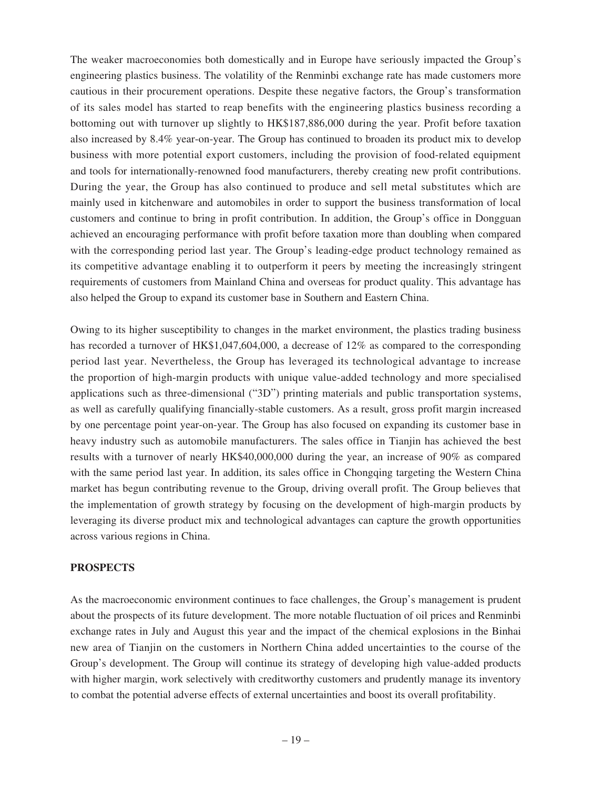The weaker macroeconomies both domestically and in Europe have seriously impacted the Group's engineering plastics business. The volatility of the Renminbi exchange rate has made customers more cautious in their procurement operations. Despite these negative factors, the Group's transformation of its sales model has started to reap benefits with the engineering plastics business recording a bottoming out with turnover up slightly to HK\$187,886,000 during the year. Profit before taxation also increased by 8.4% year-on-year. The Group has continued to broaden its product mix to develop business with more potential export customers, including the provision of food-related equipment and tools for internationally-renowned food manufacturers, thereby creating new profit contributions. During the year, the Group has also continued to produce and sell metal substitutes which are mainly used in kitchenware and automobiles in order to support the business transformation of local customers and continue to bring in profit contribution. In addition, the Group's office in Dongguan achieved an encouraging performance with profit before taxation more than doubling when compared with the corresponding period last year. The Group's leading-edge product technology remained as its competitive advantage enabling it to outperform it peers by meeting the increasingly stringent requirements of customers from Mainland China and overseas for product quality. This advantage has also helped the Group to expand its customer base in Southern and Eastern China.

Owing to its higher susceptibility to changes in the market environment, the plastics trading business has recorded a turnover of HK\$1,047,604,000, a decrease of 12% as compared to the corresponding period last year. Nevertheless, the Group has leveraged its technological advantage to increase the proportion of high-margin products with unique value-added technology and more specialised applications such as three-dimensional ("3D") printing materials and public transportation systems, as well as carefully qualifying financially-stable customers. As a result, gross profit margin increased by one percentage point year-on-year. The Group has also focused on expanding its customer base in heavy industry such as automobile manufacturers. The sales office in Tianjin has achieved the best results with a turnover of nearly HK\$40,000,000 during the year, an increase of 90% as compared with the same period last year. In addition, its sales office in Chongqing targeting the Western China market has begun contributing revenue to the Group, driving overall profit. The Group believes that the implementation of growth strategy by focusing on the development of high-margin products by leveraging its diverse product mix and technological advantages can capture the growth opportunities across various regions in China.

## **PROSPECTS**

As the macroeconomic environment continues to face challenges, the Group's management is prudent about the prospects of its future development. The more notable fluctuation of oil prices and Renminbi exchange rates in July and August this year and the impact of the chemical explosions in the Binhai new area of Tianjin on the customers in Northern China added uncertainties to the course of the Group's development. The Group will continue its strategy of developing high value-added products with higher margin, work selectively with creditworthy customers and prudently manage its inventory to combat the potential adverse effects of external uncertainties and boost its overall profitability.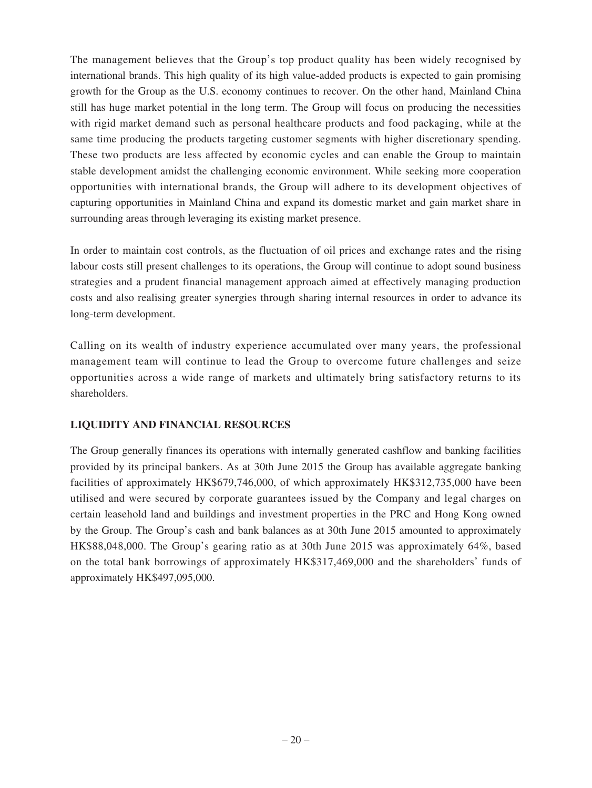The management believes that the Group's top product quality has been widely recognised by international brands. This high quality of its high value-added products is expected to gain promising growth for the Group as the U.S. economy continues to recover. On the other hand, Mainland China still has huge market potential in the long term. The Group will focus on producing the necessities with rigid market demand such as personal healthcare products and food packaging, while at the same time producing the products targeting customer segments with higher discretionary spending. These two products are less affected by economic cycles and can enable the Group to maintain stable development amidst the challenging economic environment. While seeking more cooperation opportunities with international brands, the Group will adhere to its development objectives of capturing opportunities in Mainland China and expand its domestic market and gain market share in surrounding areas through leveraging its existing market presence.

In order to maintain cost controls, as the fluctuation of oil prices and exchange rates and the rising labour costs still present challenges to its operations, the Group will continue to adopt sound business strategies and a prudent financial management approach aimed at effectively managing production costs and also realising greater synergies through sharing internal resources in order to advance its long-term development.

Calling on its wealth of industry experience accumulated over many years, the professional management team will continue to lead the Group to overcome future challenges and seize opportunities across a wide range of markets and ultimately bring satisfactory returns to its shareholders.

## **LIQUIDITY AND FINANCIAL RESOURCES**

The Group generally finances its operations with internally generated cashflow and banking facilities provided by its principal bankers. As at 30th June 2015 the Group has available aggregate banking facilities of approximately HK\$679,746,000, of which approximately HK\$312,735,000 have been utilised and were secured by corporate guarantees issued by the Company and legal charges on certain leasehold land and buildings and investment properties in the PRC and Hong Kong owned by the Group. The Group's cash and bank balances as at 30th June 2015 amounted to approximately HK\$88,048,000. The Group's gearing ratio as at 30th June 2015 was approximately 64%, based on the total bank borrowings of approximately HK\$317,469,000 and the shareholders' funds of approximately HK\$497,095,000.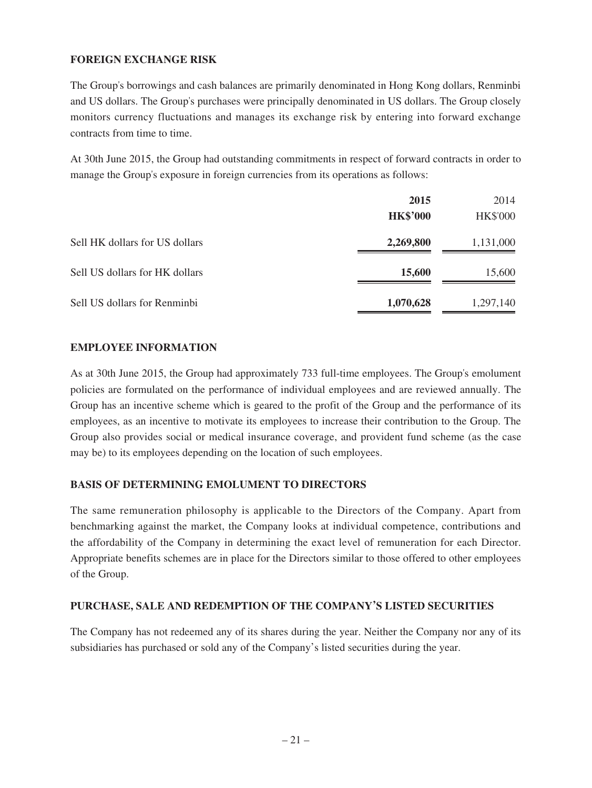## **FOREIGN EXCHANGE RISK**

The Group's borrowings and cash balances are primarily denominated in Hong Kong dollars, Renminbi and US dollars. The Group's purchases were principally denominated in US dollars. The Group closely monitors currency fluctuations and manages its exchange risk by entering into forward exchange contracts from time to time.

At 30th June 2015, the Group had outstanding commitments in respect of forward contracts in order to manage the Group's exposure in foreign currencies from its operations as follows:

|                                | 2015            | 2014            |
|--------------------------------|-----------------|-----------------|
|                                | <b>HK\$'000</b> | <b>HK\$'000</b> |
| Sell HK dollars for US dollars | 2,269,800       | 1,131,000       |
| Sell US dollars for HK dollars | 15,600          | 15,600          |
| Sell US dollars for Renminbi   | 1,070,628       | 1,297,140       |

## **EMPLOYEE INFORMATION**

As at 30th June 2015, the Group had approximately 733 full-time employees. The Group's emolument policies are formulated on the performance of individual employees and are reviewed annually. The Group has an incentive scheme which is geared to the profit of the Group and the performance of its employees, as an incentive to motivate its employees to increase their contribution to the Group. The Group also provides social or medical insurance coverage, and provident fund scheme (as the case may be) to its employees depending on the location of such employees.

## **BASIS OF DETERMINING EMOLUMENT TO DIRECTORS**

The same remuneration philosophy is applicable to the Directors of the Company. Apart from benchmarking against the market, the Company looks at individual competence, contributions and the affordability of the Company in determining the exact level of remuneration for each Director. Appropriate benefits schemes are in place for the Directors similar to those offered to other employees of the Group.

### **PURCHASE, SALE AND REDEMPTION OF THE COMPANY'S LISTED SECURITIES**

The Company has not redeemed any of its shares during the year. Neither the Company nor any of its subsidiaries has purchased or sold any of the Company's listed securities during the year.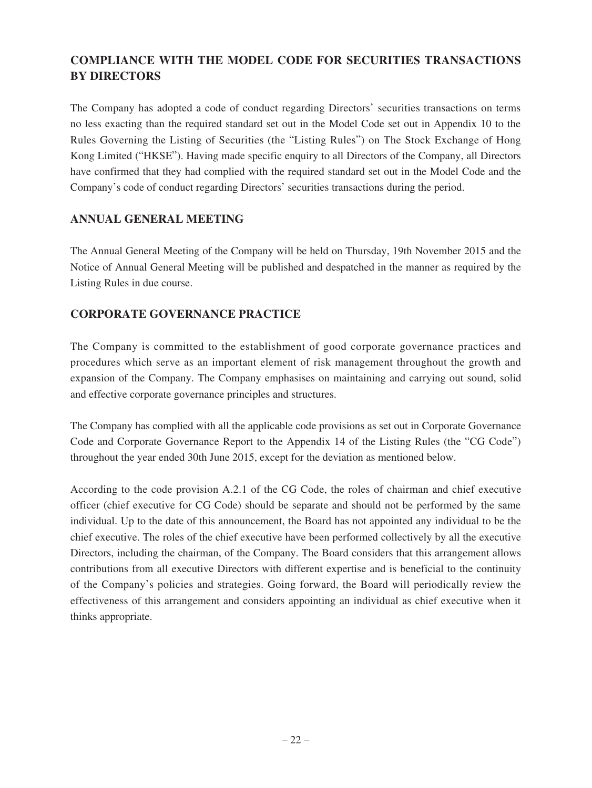# **COMPLIANCE WITH THE MODEL CODE FOR SECURITIES TRANSACTIONS BY DIRECTORS**

The Company has adopted a code of conduct regarding Directors' securities transactions on terms no less exacting than the required standard set out in the Model Code set out in Appendix 10 to the Rules Governing the Listing of Securities (the "Listing Rules") on The Stock Exchange of Hong Kong Limited ("HKSE"). Having made specific enquiry to all Directors of the Company, all Directors have confirmed that they had complied with the required standard set out in the Model Code and the Company's code of conduct regarding Directors' securities transactions during the period.

## **ANNUAL GENERAL MEETING**

The Annual General Meeting of the Company will be held on Thursday, 19th November 2015 and the Notice of Annual General Meeting will be published and despatched in the manner as required by the Listing Rules in due course.

## **CORPORATE GOVERNANCE PRACTICE**

The Company is committed to the establishment of good corporate governance practices and procedures which serve as an important element of risk management throughout the growth and expansion of the Company. The Company emphasises on maintaining and carrying out sound, solid and effective corporate governance principles and structures.

The Company has complied with all the applicable code provisions as set out in Corporate Governance Code and Corporate Governance Report to the Appendix 14 of the Listing Rules (the "CG Code") throughout the year ended 30th June 2015, except for the deviation as mentioned below.

According to the code provision A.2.1 of the CG Code, the roles of chairman and chief executive officer (chief executive for CG Code) should be separate and should not be performed by the same individual. Up to the date of this announcement, the Board has not appointed any individual to be the chief executive. The roles of the chief executive have been performed collectively by all the executive Directors, including the chairman, of the Company. The Board considers that this arrangement allows contributions from all executive Directors with different expertise and is beneficial to the continuity of the Company's policies and strategies. Going forward, the Board will periodically review the effectiveness of this arrangement and considers appointing an individual as chief executive when it thinks appropriate.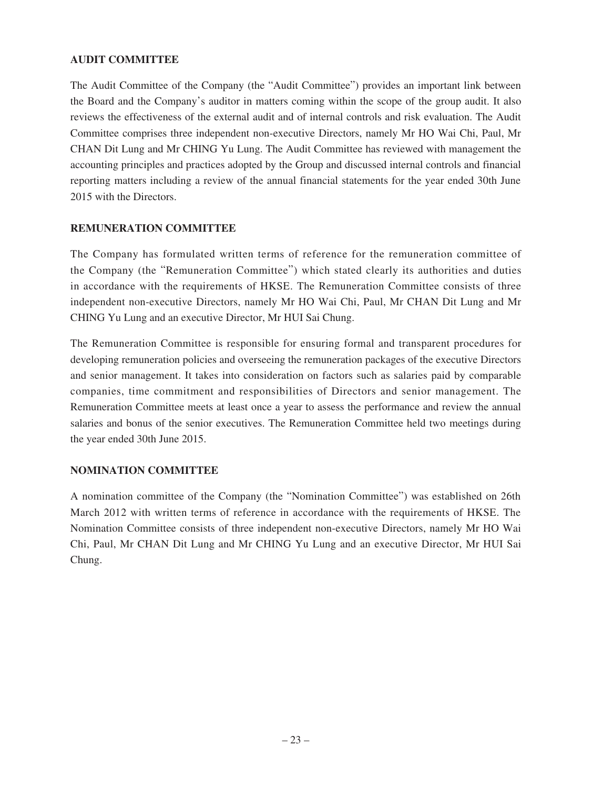## **AUDIT COMMITTEE**

The Audit Committee of the Company (the "Audit Committee") provides an important link between the Board and the Company's auditor in matters coming within the scope of the group audit. It also reviews the effectiveness of the external audit and of internal controls and risk evaluation. The Audit Committee comprises three independent non-executive Directors, namely Mr HO Wai Chi, Paul, Mr CHAN Dit Lung and Mr CHING Yu Lung. The Audit Committee has reviewed with management the accounting principles and practices adopted by the Group and discussed internal controls and financial reporting matters including a review of the annual financial statements for the year ended 30th June 2015 with the Directors.

## **REMUNERATION COMMITTEE**

The Company has formulated written terms of reference for the remuneration committee of the Company (the "Remuneration Committee") which stated clearly its authorities and duties in accordance with the requirements of HKSE. The Remuneration Committee consists of three independent non-executive Directors, namely Mr HO Wai Chi, Paul, Mr CHAN Dit Lung and Mr CHING Yu Lung and an executive Director, Mr HUI Sai Chung.

The Remuneration Committee is responsible for ensuring formal and transparent procedures for developing remuneration policies and overseeing the remuneration packages of the executive Directors and senior management. It takes into consideration on factors such as salaries paid by comparable companies, time commitment and responsibilities of Directors and senior management. The Remuneration Committee meets at least once a year to assess the performance and review the annual salaries and bonus of the senior executives. The Remuneration Committee held two meetings during the year ended 30th June 2015.

## **NOMINATION COMMITTEE**

A nomination committee of the Company (the "Nomination Committee") was established on 26th March 2012 with written terms of reference in accordance with the requirements of HKSE. The Nomination Committee consists of three independent non-executive Directors, namely Mr HO Wai Chi, Paul, Mr CHAN Dit Lung and Mr CHING Yu Lung and an executive Director, Mr HUI Sai Chung.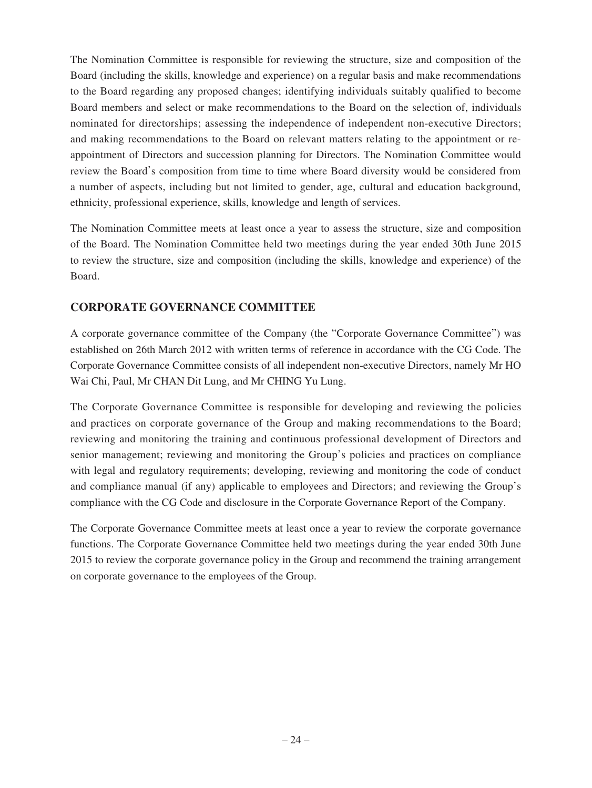The Nomination Committee is responsible for reviewing the structure, size and composition of the Board (including the skills, knowledge and experience) on a regular basis and make recommendations to the Board regarding any proposed changes; identifying individuals suitably qualified to become Board members and select or make recommendations to the Board on the selection of, individuals nominated for directorships; assessing the independence of independent non-executive Directors; and making recommendations to the Board on relevant matters relating to the appointment or reappointment of Directors and succession planning for Directors. The Nomination Committee would review the Board's composition from time to time where Board diversity would be considered from a number of aspects, including but not limited to gender, age, cultural and education background, ethnicity, professional experience, skills, knowledge and length of services.

The Nomination Committee meets at least once a year to assess the structure, size and composition of the Board. The Nomination Committee held two meetings during the year ended 30th June 2015 to review the structure, size and composition (including the skills, knowledge and experience) of the Board.

## **CORPORATE GOVERNANCE COMMITTEE**

A corporate governance committee of the Company (the "Corporate Governance Committee") was established on 26th March 2012 with written terms of reference in accordance with the CG Code. The Corporate Governance Committee consists of all independent non-executive Directors, namely Mr HO Wai Chi, Paul, Mr CHAN Dit Lung, and Mr CHING Yu Lung.

The Corporate Governance Committee is responsible for developing and reviewing the policies and practices on corporate governance of the Group and making recommendations to the Board; reviewing and monitoring the training and continuous professional development of Directors and senior management; reviewing and monitoring the Group's policies and practices on compliance with legal and regulatory requirements; developing, reviewing and monitoring the code of conduct and compliance manual (if any) applicable to employees and Directors; and reviewing the Group's compliance with the CG Code and disclosure in the Corporate Governance Report of the Company.

The Corporate Governance Committee meets at least once a year to review the corporate governance functions. The Corporate Governance Committee held two meetings during the year ended 30th June 2015 to review the corporate governance policy in the Group and recommend the training arrangement on corporate governance to the employees of the Group.